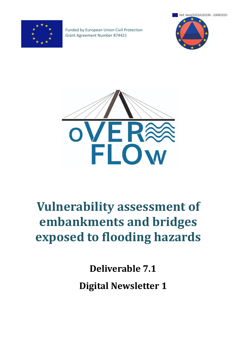

Funded by European Union Civil Protection Grant Agreement Number 874421





# **Vulnerability assessment of embankments and bridges exposed to flooding hazards**

**Deliverable 7.1**

**Digital Newsletter 1**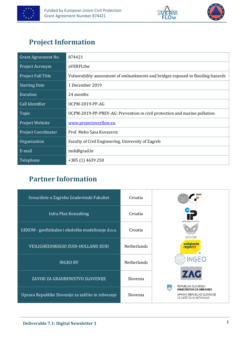





# <span id="page-1-0"></span>**Project Information**

| Grant Agreement No.        | 874421                                                                          |
|----------------------------|---------------------------------------------------------------------------------|
| Project Acronym            | oVERFLOw                                                                        |
| Project Full Title         | Vulnerability assessment of embankments and bridges exposed to flooding hazards |
| <b>Starting Date</b>       | 1 December 2019                                                                 |
| <b>Duration</b>            | 24 months                                                                       |
| Call Identifier            | <b>UCPM-2019-PP-AG</b>                                                          |
| Topic                      | UCPM-2019-PP-PREV-AG: Prevention in civil protection and marine pollution       |
| Project Website            | www.projectoverflow.eu                                                          |
| <b>Project Coordinator</b> | Prof. Meho Sasa Kovacevic                                                       |
| Organisation               | Faculty of Civil Engineering, University of Zagreb                              |
| E-mail                     | msk@grad.hr                                                                     |
| Telephone                  | +385 (1) 4639 250                                                               |

# <span id="page-1-1"></span>**Partner Information**

| Sveuciliste u Zagrebu Gradevinski Fakultet         | Croatia            |                                                                                 |
|----------------------------------------------------|--------------------|---------------------------------------------------------------------------------|
| Infra Plan Konzalting                              | Croatia            | infra plan konzalting                                                           |
| GEKOM - geofizikalno i ekološko modeliranje d.o.o. | Croatia            | <b>GECOM</b>                                                                    |
| VEILIGHEIDSREGIO ZUID-HOLLAND ZUID                 | <b>Netherlands</b> | veiligheids<br>regiozhz<br>$\rightarrow$                                        |
| <b>INGEO BV</b>                                    | <b>Netherlands</b> | NGFO                                                                            |
| ZAVOD ZA GRADBENISTVO SLOVENIJE                    | Slovenia           | <b>ZAG</b><br>REPUBLIKA SLOVENIJA                                               |
| Uprava Republike Slovenije za zaščito in reševanje | Slovenia           | MINISTRSTVO ZA OBRAMBO<br>UPRAVA REPUBLIKE SLOVENIJE<br>ZA ZAŠČITO IN REŠEVANJE |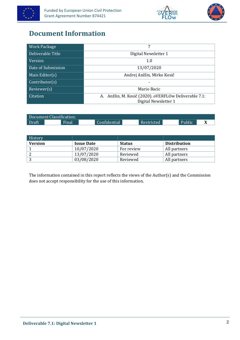





## <span id="page-2-0"></span>**Document Information**

| <b>Work Package</b> | 7                                                        |  |  |
|---------------------|----------------------------------------------------------|--|--|
| Deliverable Title   | Digital Newsletter 1                                     |  |  |
| Version             | 1.0                                                      |  |  |
| Date of Submission  | 13/07/2020                                               |  |  |
| Main Editor(s)      | Andrej Anžlin, Mirko Kosič                               |  |  |
| Contributor(s)      |                                                          |  |  |
| Reviewer(s)         | Mario Bacic                                              |  |  |
| Citation            | Anžlin, M. Kosič (2020). oVERFLOw Deliverable 7.1:<br>А. |  |  |
|                     | Digital Newsletter 1                                     |  |  |

| Document Classification: |       |              |                   |        |  |  |
|--------------------------|-------|--------------|-------------------|--------|--|--|
| Draft                    | Final | Confidential | <b>Restricted</b> | Public |  |  |

| <b>History</b> |                   |               |                     |
|----------------|-------------------|---------------|---------------------|
| <b>Version</b> | <b>Issue Date</b> | <b>Status</b> | <b>Distribution</b> |
|                | 10/07/2020        | For review    | All partners        |
|                | 13/07/2020        | Reviewed      | All partners        |
|                | 03/08/2020        | Reviewed      | All partners        |

The information contained in this report reflects the views of the Author(s) and the Commission does not accept responsibility for the use of this information.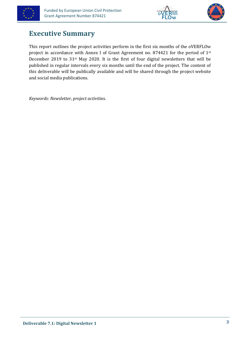





### <span id="page-3-0"></span>**Executive Summary**

This report outlines the project activities perform in the first six months of the oVERFLOw project in accordance with Annex I of Grant Agreement no. 874421 for the period of 1st December 2019 to 31<sup>st</sup> May 2020. It is the first of four digital newsletters that will be published in regular intervals every six months until the end of the project. The content of this deliverable will be publically available and will be shared through the project website and social media publications.

*Keywords: Newsletter, project activities.*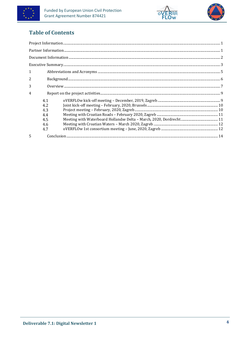





### **Table of Contents**

| $\mathbf{1}$ |            |                                                                                                                                                                                                                                                                                                                                                                                                                                                                                                                                      |  |
|--------------|------------|--------------------------------------------------------------------------------------------------------------------------------------------------------------------------------------------------------------------------------------------------------------------------------------------------------------------------------------------------------------------------------------------------------------------------------------------------------------------------------------------------------------------------------------|--|
| 2            |            |                                                                                                                                                                                                                                                                                                                                                                                                                                                                                                                                      |  |
| 3            |            |                                                                                                                                                                                                                                                                                                                                                                                                                                                                                                                                      |  |
| 4            |            |                                                                                                                                                                                                                                                                                                                                                                                                                                                                                                                                      |  |
|              | 4.1        |                                                                                                                                                                                                                                                                                                                                                                                                                                                                                                                                      |  |
|              | 4.2<br>4.3 | ${\it Joint kick-off meeting - February, 2020, Brussels.  \label{thm:non-10} \begin{minipage}[c]{0.9\linewidth} \begin{minipage}[c]{0.9\linewidth} \begin{minipage}[c]{0.9\linewidth} \begin{minipage}[c]{0.9\linewidth} \begin{minipage}[c]{0.9\linewidth} \begin{minipage}[c]{0.9\linewidth} \end{minipage}[c]{0.9\linewidth} \end{minipage} \end{minipage} \begin{minipage}[c]{0.9\linewidth} \begin{minipage}[c]{0.9\linewidth} \begin{minipage}[c]{0.9\linewidth} \end{minipage} \end{minipage} \end{minipage} \begin{minipage$ |  |
|              | 4.4        |                                                                                                                                                                                                                                                                                                                                                                                                                                                                                                                                      |  |
|              | 4.5        |                                                                                                                                                                                                                                                                                                                                                                                                                                                                                                                                      |  |
|              | 4.6        |                                                                                                                                                                                                                                                                                                                                                                                                                                                                                                                                      |  |
|              | 4.7        |                                                                                                                                                                                                                                                                                                                                                                                                                                                                                                                                      |  |
| 5            |            |                                                                                                                                                                                                                                                                                                                                                                                                                                                                                                                                      |  |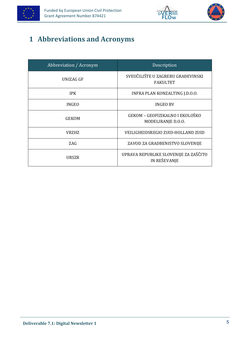





# <span id="page-5-0"></span>**1 Abbreviations and Acronyms**

| Abbreviation / Acronym | Description                                                  |  |  |
|------------------------|--------------------------------------------------------------|--|--|
| UNIZAG GF              | SVEUČILIŠTE U ZAGREBU GRAĐEVINSKI<br><b>FAKULTET</b>         |  |  |
| <b>IPK</b>             | INFRA PLAN KONZALTING J.D.O.O.                               |  |  |
| <b>INGEO</b>           | <b>INGEO BV</b>                                              |  |  |
| <b>GEKOM</b>           | GEKOM - GEOFIZIKALNO I EKOLOŠKO<br>MODELIRANJE D.O.O.        |  |  |
| <b>VRZHZ</b>           | <b>VEILIGHEIDSREGIO ZUID-HOLLAND ZUID</b>                    |  |  |
| ZAG                    | ZAVOD ZA GRADBENISTVO SLOVENIJE                              |  |  |
| URSZR                  | UPRAVA REPUBLIKE SLOVENIJE ZA ZAŠČITO<br><b>IN REŠEVANJE</b> |  |  |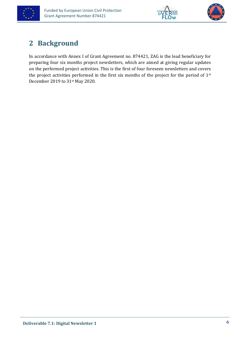





# <span id="page-6-0"></span>**2 Background**

In accordance with Annex I of Grant Agreement no. 874421, ZAG is the lead beneficiary for preparing four six months project newsletters, which are aimed at giving regular updates on the performed project activities. This is the first of four foreseen newsletters and covers the project activities performed in the first six months of the project for the period of 1st December 2019 to 31st May 2020.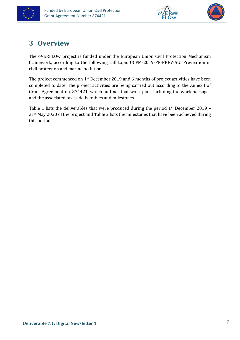





# <span id="page-7-0"></span>**3 Overview**

The oVERFLOw project is funded under the European Union Civil Protection Mechanism framework, according to the following call topic UCPM-2019-PP-PREV-AG: Prevention in civil protection and marine pollution.

The project commenced on 1<sup>st</sup> December 2019 and 6 months of project activities have been completed to date. The project activities are being carried out according to the Annex I of Grant Agreement no. 874421, which outlines that work plan, including the work packages and the associated tasks, deliverables and milestones.

Table 1 lists the deliverables that were produced during the period  $1<sup>st</sup>$  December 2019 – 31st May 2020 of the project and Table 2 lists the milestones that have been achieved during this period.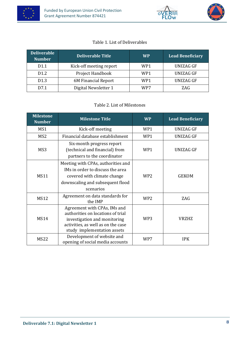





#### Table 1. List of Deliverables

| <b>Deliverable</b><br><b>Number</b> | <b>Deliverable Title</b> | <b>WP</b> | <b>Lead Beneficiary</b> |
|-------------------------------------|--------------------------|-----------|-------------------------|
| D1.1                                | Kick-off meeting report  | WP1       | UNIZAG GF               |
| D <sub>1.2</sub>                    | Project Handbook         | WP1       | <b>UNIZAG GF</b>        |
| D <sub>1.3</sub>                    | 6M Financial Report      | WP1       | <b>UNIZAG GF</b>        |
| D7.1                                | Digital Newsletter 1     | WP7       | ZAG                     |

#### Table 2. List of Milestones

| <b>Milestone</b><br><b>Number</b> | <b>Milestone Title</b>                                                                                                                                                 | <b>WP</b>       | <b>Lead Beneficiary</b> |
|-----------------------------------|------------------------------------------------------------------------------------------------------------------------------------------------------------------------|-----------------|-------------------------|
| MS1                               | Kick-off meeting                                                                                                                                                       | WP1             | <b>UNIZAG GF</b>        |
| MS <sub>2</sub>                   | Financial database establishment                                                                                                                                       | WP1             | UNIZAG GF               |
| MS3                               | Six-month progress report<br>(technical and financial) from<br>partners to the coordinator                                                                             | WP1             | <b>UNIZAG GF</b>        |
| <b>MS11</b>                       | Meeting with CPAs, authorities and<br>IMs in order to discuss the area<br>covered with climate change<br>downscaling and subsequent flood<br>scenarios                 | WP <sub>2</sub> | <b>GEKOM</b>            |
| <b>MS12</b>                       | Agreement on data standards for<br>the IMP                                                                                                                             | WP <sub>2</sub> | ZAG                     |
| <b>MS14</b>                       | Agreement with CPAs, IMs and<br>authorities on locations of trial<br>investigation and monitoring<br>activities, as well as on the case<br>study implementation assets | WP3             | <b>VRZHZ</b>            |
| <b>MS22</b>                       | Development of website and<br>opening of social media accounts                                                                                                         | WP7             | <b>IPK</b>              |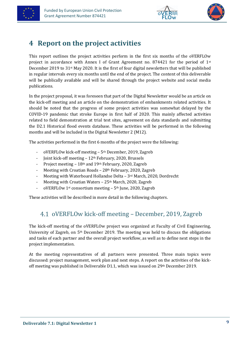





### <span id="page-9-0"></span>**4 Report on the project activities**

This report outlines the project activities perform in the first six months of the oVERFLOw project in accordance with Annex I of Grant Agreement no. 874421 for the period of  $1<sup>st</sup>$ December 2019 to 31st May 2020. It is the first of four digital newsletters that will be published in regular intervals every six months until the end of the project. The content of this deliverable will be publically available and will be shared through the project website and social media publications.

In the project proposal, it was foreseen that part of the Digital Newsletter would be an article on the kick-off meeting and an article on the demonstration of embankments related activities. It should be noted that the progress of some project activities was somewhat delayed by the COVID-19 pandemic that stroke Europe in first half of 2020. This mainly affected activities related to field demonstration at trial test sites, agreement on data standards and submitting the D2.1 Historical flood events database. These activities will be performed in the following months and will be included in the Digital Newsletter 2 (M12).

The activities performed in the first 6 months of the project were the following:

- oVERFLOw kick-off meeting 5<sup>th</sup> December, 2019, Zagreb
- Joint kick-off meeting 12th February, 2020, Brussels
- Project meeting 18th and 19th February, 2020, Zagreb
- Meeting with Croatian Roads 28<sup>th</sup> February, 2020, Zagreb
- Meeting with Waterboard Hollandse Delta 3rd March, 2020, Dordrecht
- Meeting with Croatian Waters 25<sup>th</sup> March, 2020, Zagreb
- oVERFLOw 1<sup>st</sup> consortium meeting 5<sup>th</sup> June, 2020, Zagreb

<span id="page-9-1"></span>These activities will be described in more detail in the following chapters.

### oVERFLOw kick-off meeting – December, 2019, Zagreb

The kick-off meeting of the oVERFLOw project was organized at Faculty of Civil Engineering, University of Zagreb, on  $5<sup>th</sup>$  December 2019. The meeting was held to discuss the obligations and tasks of each partner and the overall project workflow, as well as to define next steps in the project implementation.

At the meeting representatives of all partners were presented. Three main topics were discussed: project management, work plan and next steps. A report on the activities of the kickoff meeting was published in Deliverable D1.1, which was issued on 29th December 2019.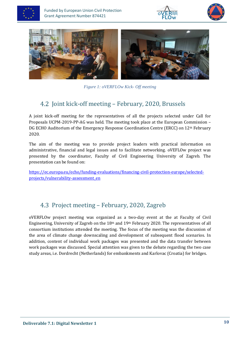







*Figure 1: oVERFLOw Kick- Off meeting*

### <span id="page-10-0"></span>4.2 Joint kick-off meeting – February, 2020, Brussels

A joint kick-off meeting for the representatives of all the projects selected under Call for Proposals UCPM-2019-PP-AG was held. The meeting took place at the European Commission – DG ECHO Auditorium of the Emergency Response Coordination Centre (ERCC) on 12th February 2020.

The aim of the meeting was to provide project leaders with practical information on administrative, financial and legal issues and to facilitate networking. oVEFLOw project was presented by the coordinator, Faculty of Civil Engineering University of Zagreb. The presentation can be found on:

[https://ec.europa.eu/echo/funding-evaluations/financing-civil-protection-europe/selected](https://ec.europa.eu/echo/funding-evaluations/financing-civil-protection-europe/selected-projects/vulnerability-assessment_en)[projects/vulnerability-assessment\\_en](https://ec.europa.eu/echo/funding-evaluations/financing-civil-protection-europe/selected-projects/vulnerability-assessment_en)

### <span id="page-10-1"></span>4.3 Project meeting – February, 2020, Zagreb

oVERFLOw project meeting was organized as a two-day event at the at Faculty of Civil Engineering, University of Zagreb on the 18th and 19th February 2020. The representatives of all consortium institutions attended the meeting. The focus of the meeting was the discussion of the area of climate change downscaling and development of subsequent flood scenarios. In addition, content of individual work packages was presented and the data transfer between work packages was discussed. Special attention was given to the debate regarding the two case study areas, i.e. Dordrecht (Netherlands) for embankments and Karlovac (Croatia) for bridges.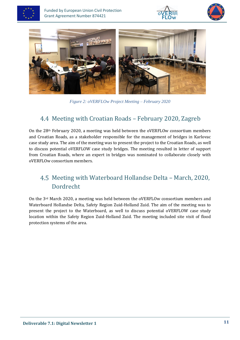







*Figure 2: oVERFLOw Project Meeting – February 2020*

### <span id="page-11-0"></span>Meeting with Croatian Roads – February 2020, Zagreb

On the 28th February 2020, a meeting was held between the oVERFLOw consortium members and Croatian Roads, as a stakeholder responsible for the management of bridges in Karlovac case study area. The aim of the meeting was to present the project to the Croatian Roads, as well to discuss potential oVERFLOW case study bridges. The meeting resulted in letter of support from Croatian Roads, where an expert in bridges was nominated to collaborate closely with oVERFLOw consortium members.

### <span id="page-11-1"></span>4.5 Meeting with Waterboard Hollandse Delta – March, 2020, Dordrecht

On the 3rd March 2020, a meeting was held between the oVERFLOw consortium members and Waterboard Hollandse Delta, Safety Region Zuid-Holland Zuid. The aim of the meeting was to present the project to the Waterboard, as well to discuss potential oVERFLOW case study location within the Safety Region Zuid-Holland Zuid. The meeting included site visit of flood protection systems of the area.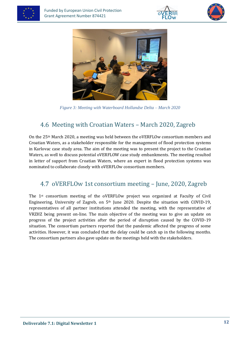







*Figure 3: Meeting with Waterboard Hollandse Delta – March 2020*

### <span id="page-12-0"></span>4.6 Meeting with Croatian Waters – March 2020, Zagreb

On the 25th March 2020, a meeting was held between the oVERFLOw consortium members and Croatian Waters, as a stakeholder responsible for the management of flood protection systems in Karlovac case study area. The aim of the meeting was to present the project to the Croatian Waters, as well to discuss potential oVERFLOW case study embankments. The meeting resulted in letter of support from Croatian Waters, where an expert in flood protection systems was nominated to collaborate closely with oVERFLOw consortium members.

### <span id="page-12-1"></span>oVERFLOw 1st consortium meeting – June, 2020, Zagreb

The 1st consortium meeting of the oVERFLOw project was organized at Faculty of Civil Engineering, University of Zagreb, on 5th June 2020. Despite the situation with COVID-19, representatives of all partner institutions attended the meeting, with the representative of VRZHZ being present on-line. The main objective of the meeting was to give an update on progress of the project activities after the period of disruption caused by the COVID-19 situation. The consortium partners reported that the pandemic affected the progress of some activities. However, it was concluded that the delay could be catch up in the following months. The consortium partners also gave update on the meetings held with the stakeholders.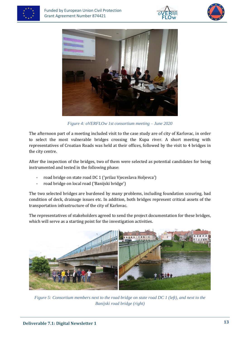







*Figure 4: oVERFLOw 1st consortium meeting – June 2020*

The afternoon part of a meeting included visit to the case study are of city of Karlovac, in order to select the most vulnerable bridges crossing the Kupa river. A short meeting with representatives of Croatian Roads was held at their offices, followed by the visit to 4 bridges in the city centre.

After the inspection of the bridges, two of them were selected as potential candidates for being instrumented and tested in the following phase:

- road bridge on state road DC 1 ('prilaz Vjeceslava Holjevca')
- road bridge on local road ('Banijski bridge')

The two selected bridges are burdened by many problems, including foundation scouring, bad condition of deck, drainage issues etc. In addition, both bridges represent critical assets of the transportation infrastructure of the city of Karlovac.

The representatives of stakeholders agreed to send the project documentation for these bridges, which will serve as a starting point for the investigation activities.



*Figure 5: Consortium members next to the road bridge on state road DC 1 (left), and next to the Banijski road bridge (right)*